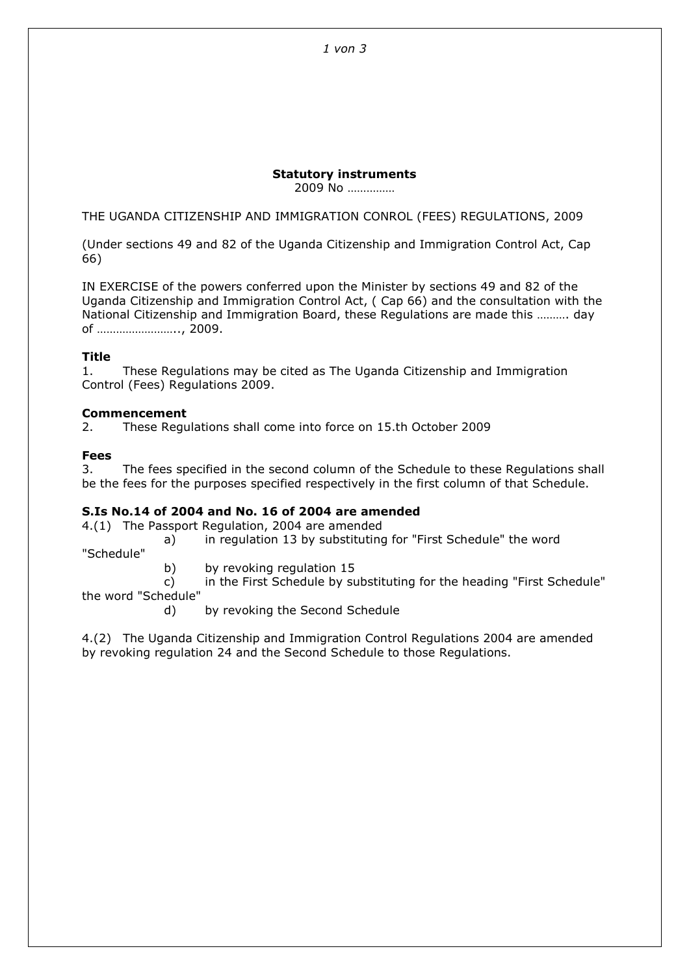# Statutory instruments

2009 No ……………

THE UGANDA CITIZENSHIP AND IMMIGRATION CONROL (FEES) REGULATIONS, 2009

(Under sections 49 and 82 of the Uganda Citizenship and Immigration Control Act, Cap 66)

IN EXERCISE of the powers conferred upon the Minister by sections 49 and 82 of the Uganda Citizenship and Immigration Control Act, ( Cap 66) and the consultation with the National Citizenship and Immigration Board, these Regulations are made this ………. day of …………………….., 2009.

## Title

1. These Regulations may be cited as The Uganda Citizenship and Immigration Control (Fees) Regulations 2009.

# Commencement

2. These Regulations shall come into force on 15.th October 2009

# Fees

3. The fees specified in the second column of the Schedule to these Regulations shall be the fees for the purposes specified respectively in the first column of that Schedule.

## S.Is No.14 of 2004 and No. 16 of 2004 are amended

4.(1) The Passport Regulation, 2004 are amended

- a) in regulation 13 by substituting for "First Schedule" the word "Schedule"
	- b) by revoking regulation 15

 c) in the First Schedule by substituting for the heading "First Schedule" the word "Schedule"

d) by revoking the Second Schedule

4.(2) The Uganda Citizenship and Immigration Control Regulations 2004 are amended by revoking regulation 24 and the Second Schedule to those Regulations.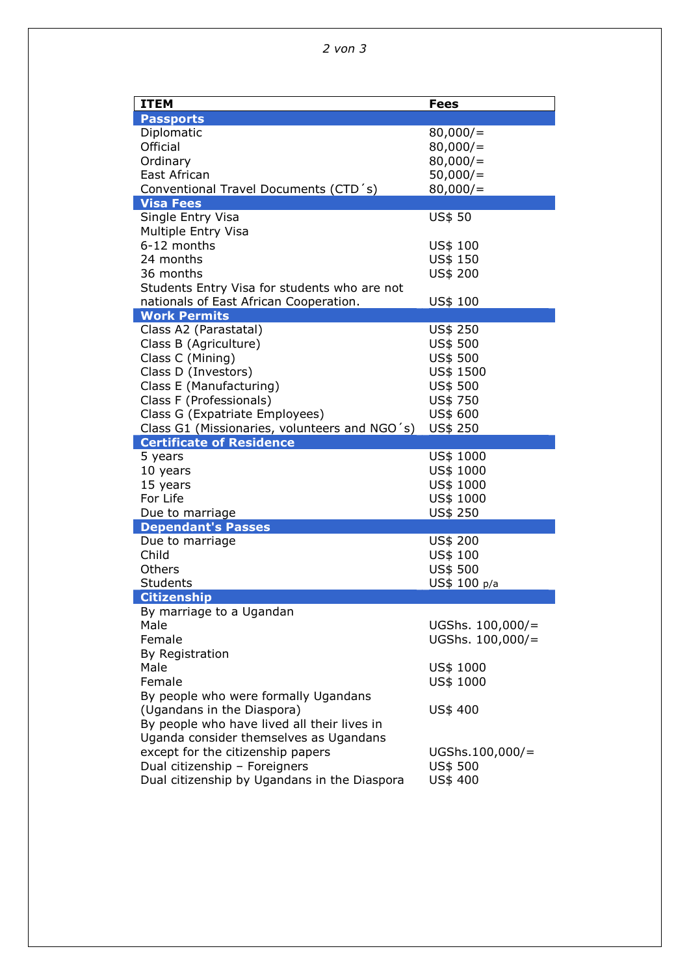| <b>ITEM</b>                                                                            | <b>Fees</b>          |
|----------------------------------------------------------------------------------------|----------------------|
| <b>Passports</b>                                                                       |                      |
| Diplomatic                                                                             | 80,000/              |
| Official                                                                               | 80,000/              |
| Ordinary                                                                               | 80,000/              |
| East African                                                                           | 50,000/              |
| Conventional Travel Documents (CTD 's)                                                 | 80,000/              |
| <b>Visa Fees</b>                                                                       |                      |
| Single Entry Visa                                                                      | <b>US\$ 50</b>       |
| Multiple Entry Visa                                                                    |                      |
| 6-12 months<br>24 months                                                               | US\$ 100             |
| 36 months                                                                              | US\$ 150<br>US\$ 200 |
|                                                                                        |                      |
| Students Entry Visa for students who are not<br>nationals of East African Cooperation. | US\$ 100             |
| <b>Work Permits</b>                                                                    |                      |
| Class A2 (Parastatal)                                                                  | US\$ 250             |
| Class B (Agriculture)                                                                  | US\$ 500             |
| Class C (Mining)                                                                       | US\$ 500             |
| Class D (Investors)                                                                    | US\$ 1500            |
| Class E (Manufacturing)                                                                | US\$ 500             |
| Class F (Professionals)                                                                | US\$ 750             |
| Class G (Expatriate Employees)                                                         | US\$ 600             |
| Class G1 (Missionaries, volunteers and NGO's)                                          | US\$ 250             |
| <b>Certificate of Residence</b>                                                        |                      |
| 5 years                                                                                | US\$ 1000            |
| 10 years                                                                               | US\$ 1000            |
| 15 years                                                                               | US\$ 1000            |
| For Life                                                                               | US\$ 1000            |
| Due to marriage                                                                        | US\$ 250             |
| <b>Dependant's Passes</b><br>Due to marriage                                           | US\$ 200             |
| Child                                                                                  | US\$ 100             |
| Others                                                                                 | US\$ 500             |
| Students                                                                               | US\$ 100 p/a         |
| <b>Citizenship</b>                                                                     |                      |
| By marriage to a Ugandan                                                               |                      |
| Male                                                                                   | UGShs. $100,000/$ =  |
| Female                                                                                 | UGShs. $100,000/$ =  |
| By Registration                                                                        |                      |
| Male                                                                                   | US\$ 1000            |
| Female                                                                                 | US\$ 1000            |
| By people who were formally Ugandans                                                   |                      |
| (Ugandans in the Diaspora)                                                             | US\$ 400             |
| By people who have lived all their lives in                                            |                      |
| Uganda consider themselves as Ugandans                                                 |                      |
| except for the citizenship papers                                                      | UGShs.100,000/=      |
| Dual citizenship - Foreigners                                                          | US\$ 500             |
| Dual citizenship by Ugandans in the Diaspora                                           | US\$ 400             |